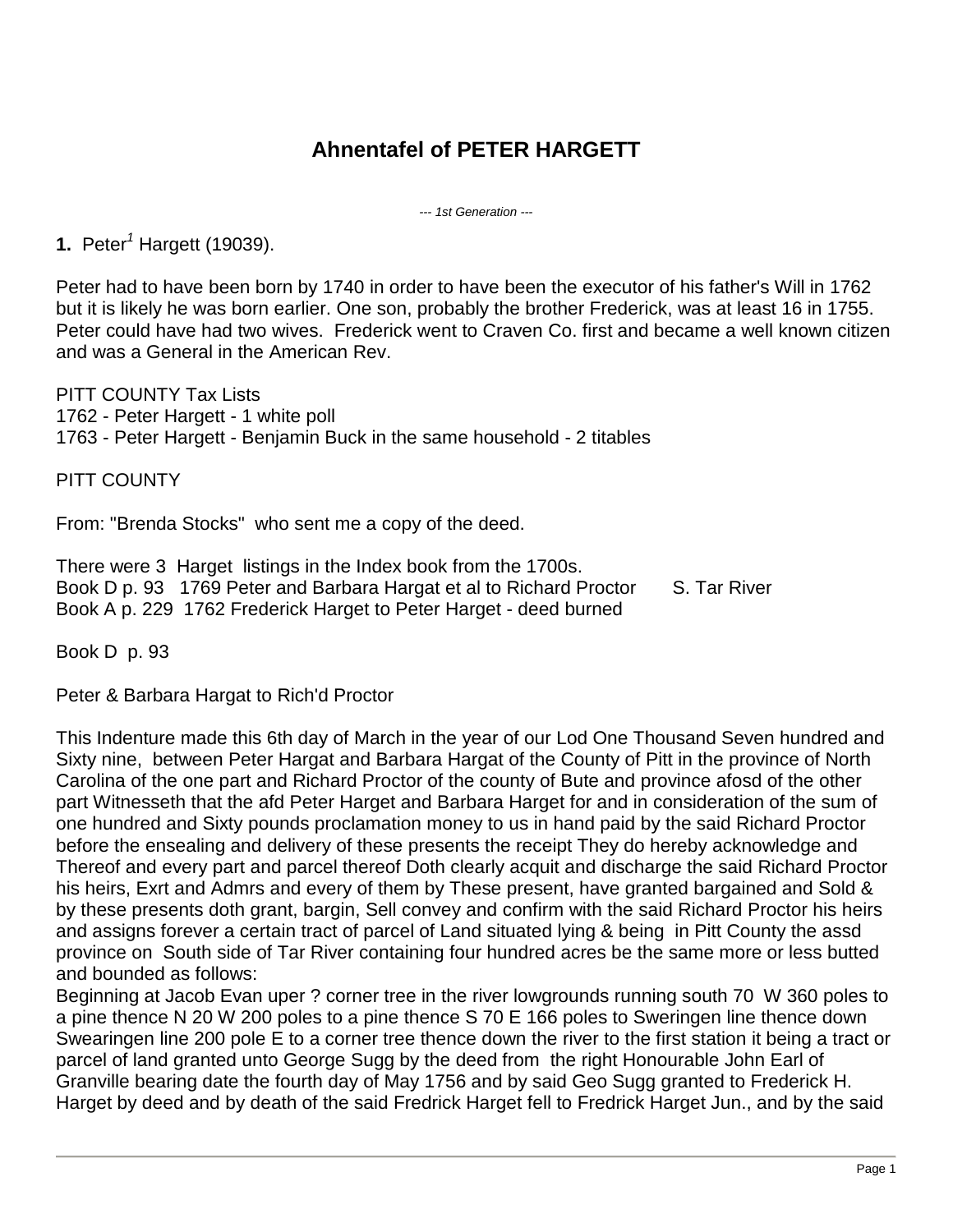# **Ahnentafel of PETER HARGETT**

*--- 1st Generation ---*

**1.** Peter*<sup>1</sup>* Hargett (19039).

Peter had to have been born by 1740 in order to have been the executor of his father's Will in 1762 but it is likely he was born earlier. One son, probably the brother Frederick, was at least 16 in 1755. Peter could have had two wives. Frederick went to Craven Co. first and became a well known citizen and was a General in the American Rev.

PITT COUNTY Tax Lists 1762 - Peter Hargett - 1 white poll 1763 - Peter Hargett - Benjamin Buck in the same household - 2 titables

PITT COUNTY

From: "Brenda Stocks" who sent me a copy of the deed.

There were 3 Harget listings in the Index book from the 1700s. Book D p. 93 1769 Peter and Barbara Hargat et al to Richard Proctor S. Tar River Book A p. 229 1762 Frederick Harget to Peter Harget - deed burned

Book D p. 93

Peter & Barbara Hargat to Rich'd Proctor

This Indenture made this 6th day of March in the year of our Lod One Thousand Seven hundred and Sixty nine, between Peter Hargat and Barbara Hargat of the County of Pitt in the province of North Carolina of the one part and Richard Proctor of the county of Bute and province afosd of the other part Witnesseth that the afd Peter Harget and Barbara Harget for and in consideration of the sum of one hundred and Sixty pounds proclamation money to us in hand paid by the said Richard Proctor before the ensealing and delivery of these presents the receipt They do hereby acknowledge and Thereof and every part and parcel thereof Doth clearly acquit and discharge the said Richard Proctor his heirs, Exrt and Admrs and every of them by These present, have granted bargained and Sold & by these presents doth grant, bargin, Sell convey and confirm with the said Richard Proctor his heirs and assigns forever a certain tract of parcel of Land situated lying & being in Pitt County the assd province on South side of Tar River containing four hundred acres be the same more or less butted and bounded as follows:

Beginning at Jacob Evan uper ? corner tree in the river lowgrounds running south 70 W 360 poles to a pine thence N 20 W 200 poles to a pine thence S 70 E 166 poles to Sweringen line thence down Swearingen line 200 pole E to a corner tree thence down the river to the first station it being a tract or parcel of land granted unto George Sugg by the deed from the right Honourable John Earl of Granville bearing date the fourth day of May 1756 and by said Geo Sugg granted to Frederick H. Harget by deed and by death of the said Fredrick Harget fell to Fredrick Harget Jun., and by the said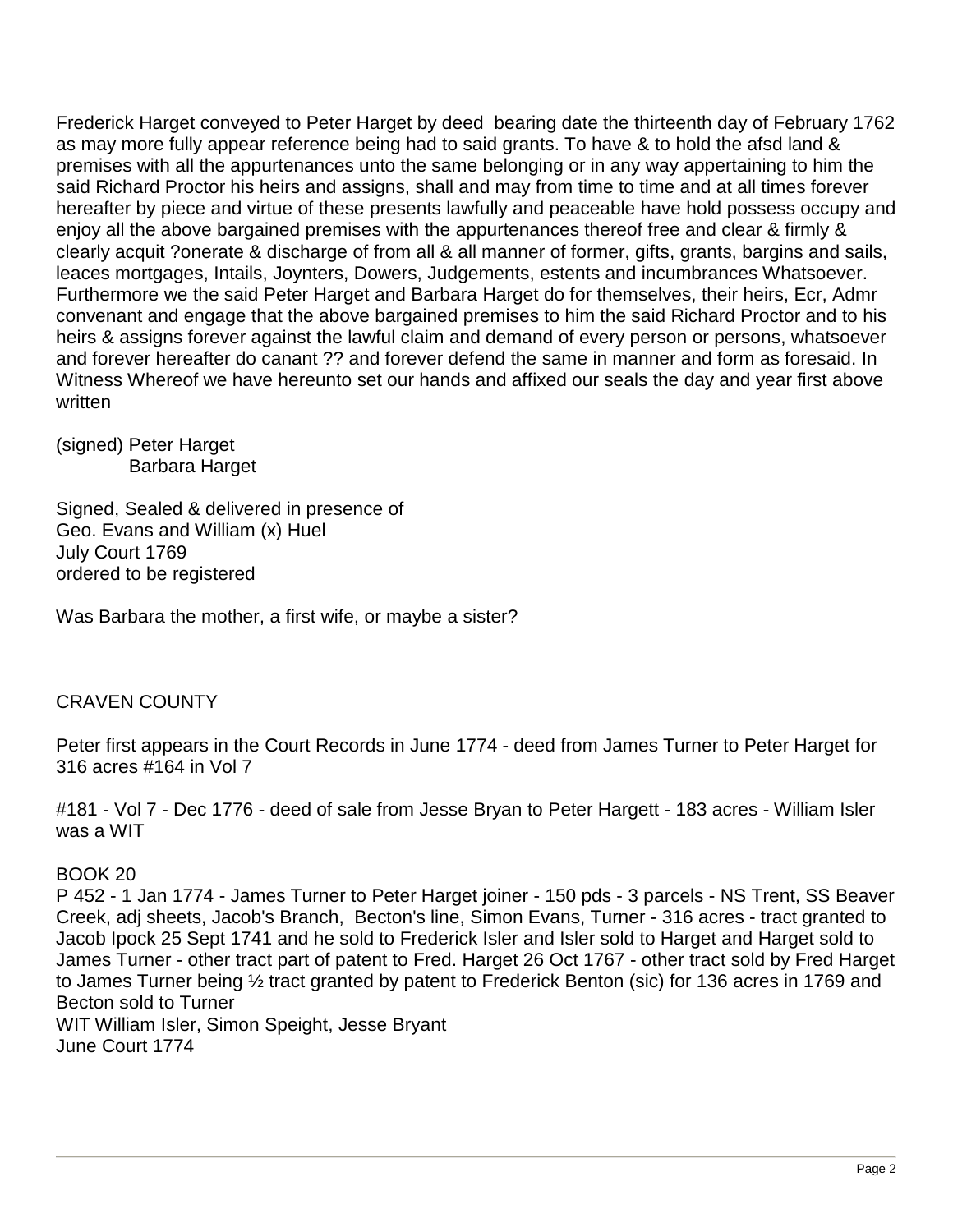Frederick Harget conveyed to Peter Harget by deed bearing date the thirteenth day of February 1762 as may more fully appear reference being had to said grants. To have & to hold the afsd land & premises with all the appurtenances unto the same belonging or in any way appertaining to him the said Richard Proctor his heirs and assigns, shall and may from time to time and at all times forever hereafter by piece and virtue of these presents lawfully and peaceable have hold possess occupy and enjoy all the above bargained premises with the appurtenances thereof free and clear & firmly & clearly acquit ?onerate & discharge of from all & all manner of former, gifts, grants, bargins and sails, leaces mortgages, Intails, Joynters, Dowers, Judgements, estents and incumbrances Whatsoever. Furthermore we the said Peter Harget and Barbara Harget do for themselves, their heirs, Ecr, Admr convenant and engage that the above bargained premises to him the said Richard Proctor and to his heirs & assigns forever against the lawful claim and demand of every person or persons, whatsoever and forever hereafter do canant ?? and forever defend the same in manner and form as foresaid. In Witness Whereof we have hereunto set our hands and affixed our seals the day and year first above written

(signed) Peter Harget Barbara Harget

Signed, Sealed & delivered in presence of Geo. Evans and William (x) Huel July Court 1769 ordered to be registered

Was Barbara the mother, a first wife, or maybe a sister?

## CRAVEN COUNTY

Peter first appears in the Court Records in June 1774 - deed from James Turner to Peter Harget for 316 acres #164 in Vol 7

#181 - Vol 7 - Dec 1776 - deed of sale from Jesse Bryan to Peter Hargett - 183 acres - William Isler was a WIT

#### BOOK 20

P 452 - 1 Jan 1774 - James Turner to Peter Harget joiner - 150 pds - 3 parcels - NS Trent, SS Beaver Creek, adj sheets, Jacob's Branch, Becton's line, Simon Evans, Turner - 316 acres - tract granted to Jacob Ipock 25 Sept 1741 and he sold to Frederick Isler and Isler sold to Harget and Harget sold to James Turner - other tract part of patent to Fred. Harget 26 Oct 1767 - other tract sold by Fred Harget to James Turner being ½ tract granted by patent to Frederick Benton (sic) for 136 acres in 1769 and Becton sold to Turner WIT William Isler, Simon Speight, Jesse Bryant

June Court 1774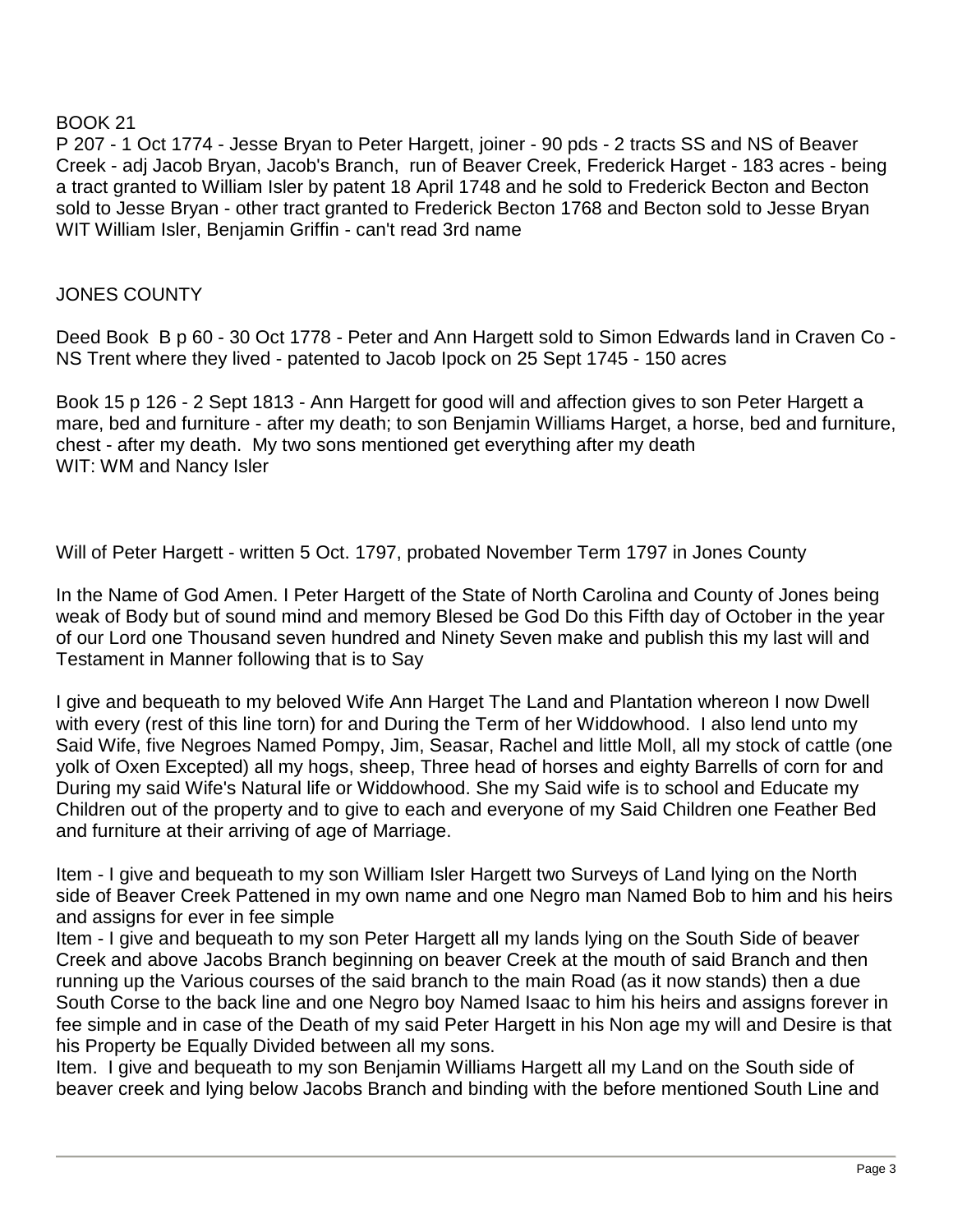#### BOOK 21

P 207 - 1 Oct 1774 - Jesse Bryan to Peter Hargett, joiner - 90 pds - 2 tracts SS and NS of Beaver Creek - adj Jacob Bryan, Jacob's Branch, run of Beaver Creek, Frederick Harget - 183 acres - being a tract granted to William Isler by patent 18 April 1748 and he sold to Frederick Becton and Becton sold to Jesse Bryan - other tract granted to Frederick Becton 1768 and Becton sold to Jesse Bryan WIT William Isler, Benjamin Griffin - can't read 3rd name

### JONES COUNTY

Deed Book B p 60 - 30 Oct 1778 - Peter and Ann Hargett sold to Simon Edwards land in Craven Co - NS Trent where they lived - patented to Jacob Ipock on 25 Sept 1745 - 150 acres

Book 15 p 126 - 2 Sept 1813 - Ann Hargett for good will and affection gives to son Peter Hargett a mare, bed and furniture - after my death; to son Benjamin Williams Harget, a horse, bed and furniture, chest - after my death. My two sons mentioned get everything after my death WIT: WM and Nancy Isler

Will of Peter Hargett - written 5 Oct. 1797, probated November Term 1797 in Jones County

In the Name of God Amen. I Peter Hargett of the State of North Carolina and County of Jones being weak of Body but of sound mind and memory Blesed be God Do this Fifth day of October in the year of our Lord one Thousand seven hundred and Ninety Seven make and publish this my last will and Testament in Manner following that is to Say

I give and bequeath to my beloved Wife Ann Harget The Land and Plantation whereon I now Dwell with every (rest of this line torn) for and During the Term of her Widdowhood. I also lend unto my Said Wife, five Negroes Named Pompy, Jim, Seasar, Rachel and little Moll, all my stock of cattle (one yolk of Oxen Excepted) all my hogs, sheep, Three head of horses and eighty Barrells of corn for and During my said Wife's Natural life or Widdowhood. She my Said wife is to school and Educate my Children out of the property and to give to each and everyone of my Said Children one Feather Bed and furniture at their arriving of age of Marriage.

Item - I give and bequeath to my son William Isler Hargett two Surveys of Land lying on the North side of Beaver Creek Pattened in my own name and one Negro man Named Bob to him and his heirs and assigns for ever in fee simple

Item - I give and bequeath to my son Peter Hargett all my lands lying on the South Side of beaver Creek and above Jacobs Branch beginning on beaver Creek at the mouth of said Branch and then running up the Various courses of the said branch to the main Road (as it now stands) then a due South Corse to the back line and one Negro boy Named Isaac to him his heirs and assigns forever in fee simple and in case of the Death of my said Peter Hargett in his Non age my will and Desire is that his Property be Equally Divided between all my sons.

Item. I give and bequeath to my son Benjamin Williams Hargett all my Land on the South side of beaver creek and lying below Jacobs Branch and binding with the before mentioned South Line and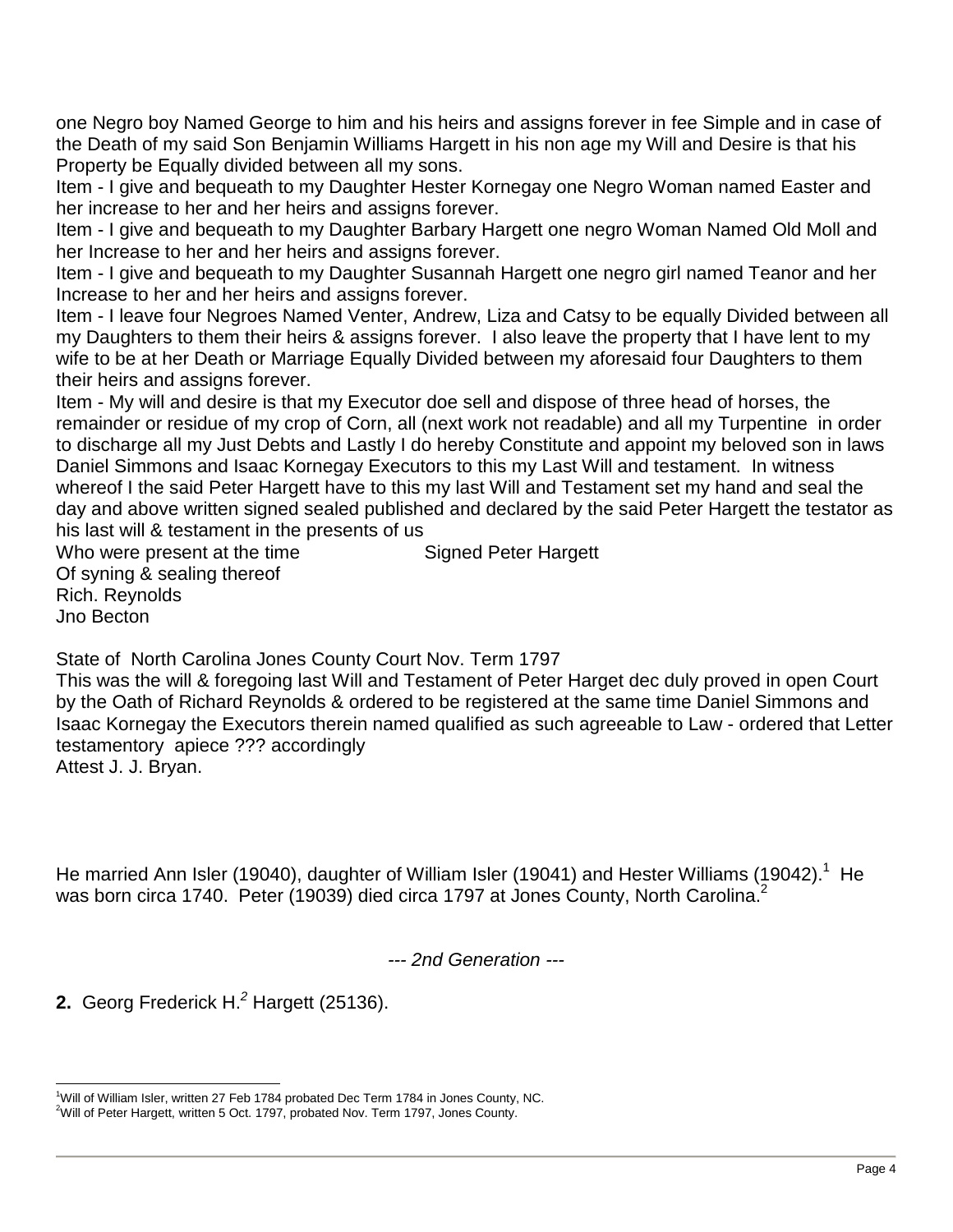one Negro boy Named George to him and his heirs and assigns forever in fee Simple and in case of the Death of my said Son Benjamin Williams Hargett in his non age my Will and Desire is that his Property be Equally divided between all my sons.

Item - I give and bequeath to my Daughter Hester Kornegay one Negro Woman named Easter and her increase to her and her heirs and assigns forever.

Item - I give and bequeath to my Daughter Barbary Hargett one negro Woman Named Old Moll and her Increase to her and her heirs and assigns forever.

Item - I give and bequeath to my Daughter Susannah Hargett one negro girl named Teanor and her Increase to her and her heirs and assigns forever.

Item - I leave four Negroes Named Venter, Andrew, Liza and Catsy to be equally Divided between all my Daughters to them their heirs & assigns forever. I also leave the property that I have lent to my wife to be at her Death or Marriage Equally Divided between my aforesaid four Daughters to them their heirs and assigns forever.

Item - My will and desire is that my Executor doe sell and dispose of three head of horses, the remainder or residue of my crop of Corn, all (next work not readable) and all my Turpentine in order to discharge all my Just Debts and Lastly I do hereby Constitute and appoint my beloved son in laws Daniel Simmons and Isaac Kornegay Executors to this my Last Will and testament. In witness whereof I the said Peter Hargett have to this my last Will and Testament set my hand and seal the day and above written signed sealed published and declared by the said Peter Hargett the testator as his last will & testament in the presents of us

Who were present at the time Signed Peter Hargett Of syning & sealing thereof Rich. Reynolds Jno Becton

State of North Carolina Jones County Court Nov. Term 1797

This was the will & foregoing last Will and Testament of Peter Harget dec duly proved in open Court by the Oath of Richard Reynolds & ordered to be registered at the same time Daniel Simmons and Isaac Kornegay the Executors therein named qualified as such agreeable to Law - ordered that Letter testamentory apiece ??? accordingly Attest J. J. Bryan.

He married Ann Isler ([1](#page-3-0)9040), daughter of William Isler (19041) and Hester Williams (19042).<sup>1</sup> He was born circa 1740. Peter (19039) died circa 1797 at Jones County, North Carolina.<sup>[2](#page-3-1)</sup>

*--- 2nd Generation ---*

**2.** Georg Frederick H.*<sup>2</sup>* Hargett (25136).

<span id="page-3-1"></span><span id="page-3-0"></span><sup>1</sup>Will of William Isler, written 27 Feb 1784 probated Dec Term 1784 in Jones County, NC.  $2$ Will of Peter Hargett, written 5 Oct. 1797, probated Nov. Term 1797, Jones County.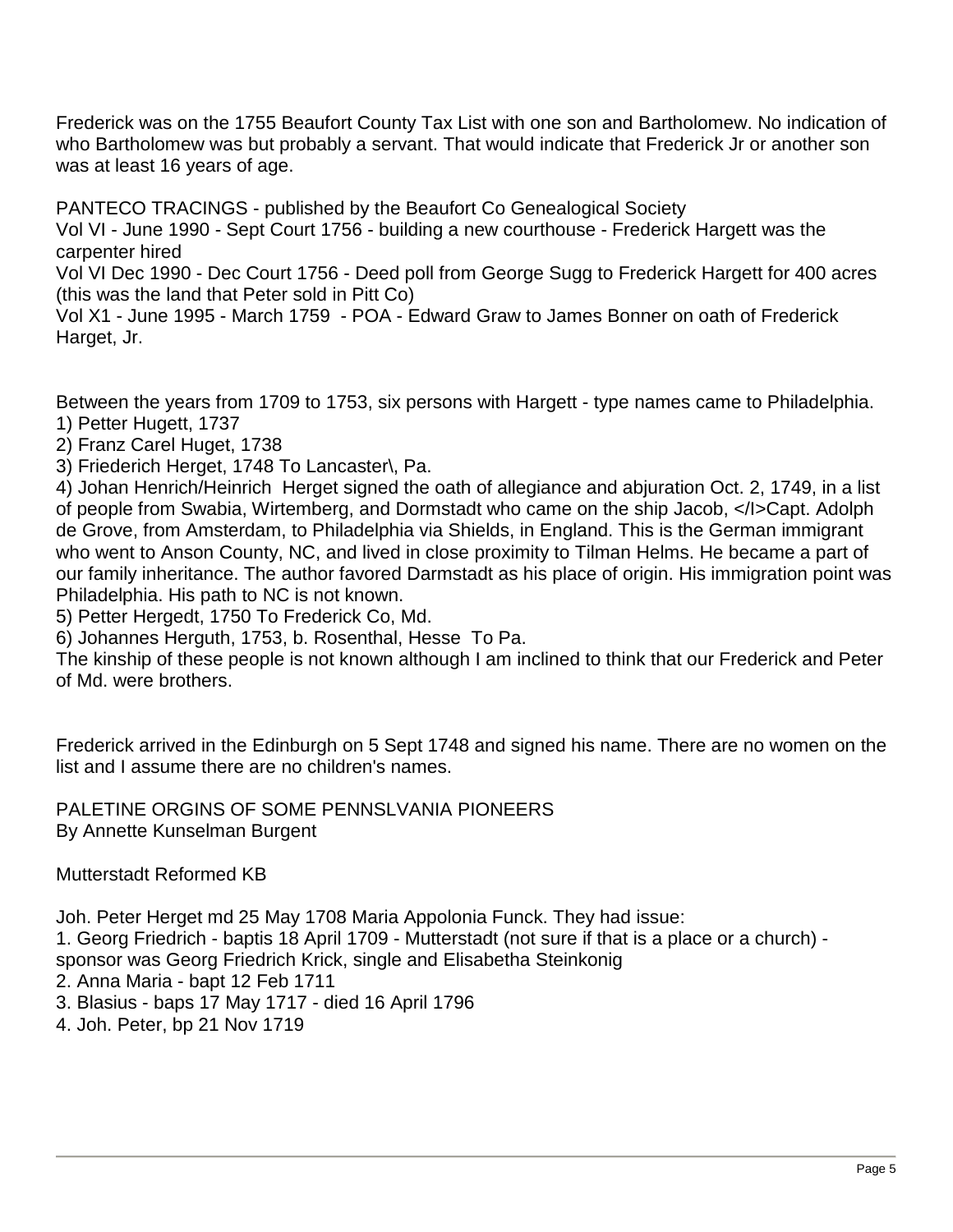Frederick was on the 1755 Beaufort County Tax List with one son and Bartholomew. No indication of who Bartholomew was but probably a servant. That would indicate that Frederick Jr or another son was at least 16 years of age.

PANTECO TRACINGS - published by the Beaufort Co Genealogical Society

Vol VI - June 1990 - Sept Court 1756 - building a new courthouse - Frederick Hargett was the carpenter hired

Vol VI Dec 1990 - Dec Court 1756 - Deed poll from George Sugg to Frederick Hargett for 400 acres (this was the land that Peter sold in Pitt Co)

Vol X1 - June 1995 - March 1759 - POA - Edward Graw to James Bonner on oath of Frederick Harget, Jr.

Between the years from 1709 to 1753, six persons with Hargett - type names came to Philadelphia. 1) Petter Hugett, 1737

2) Franz Carel Huget, 1738

3) Friederich Herget, 1748 To Lancaster\, Pa.

4) Johan Henrich/Heinrich Herget signed the oath of allegiance and abjuration Oct. 2, 1749, in a list of people from Swabia, Wirtemberg, and Dormstadt who came on the ship Jacob, </I>Capt. Adolph de Grove, from Amsterdam, to Philadelphia via Shields, in England. This is the German immigrant who went to Anson County, NC, and lived in close proximity to Tilman Helms. He became a part of our family inheritance. The author favored Darmstadt as his place of origin. His immigration point was Philadelphia. His path to NC is not known.

5) Petter Hergedt, 1750 To Frederick Co, Md.

6) Johannes Herguth, 1753, b. Rosenthal, Hesse To Pa.

The kinship of these people is not known although I am inclined to think that our Frederick and Peter of Md. were brothers.

Frederick arrived in the Edinburgh on 5 Sept 1748 and signed his name. There are no women on the list and I assume there are no children's names.

PALETINE ORGINS OF SOME PENNSLVANIA PIONEERS By Annette Kunselman Burgent

Mutterstadt Reformed KB

Joh. Peter Herget md 25 May 1708 Maria Appolonia Funck. They had issue:

1. Georg Friedrich - baptis 18 April 1709 - Mutterstadt (not sure if that is a place or a church) -

sponsor was Georg Friedrich Krick, single and Elisabetha Steinkonig

2. Anna Maria - bapt 12 Feb 1711

3. Blasius - baps 17 May 1717 - died 16 April 1796

4. Joh. Peter, bp 21 Nov 1719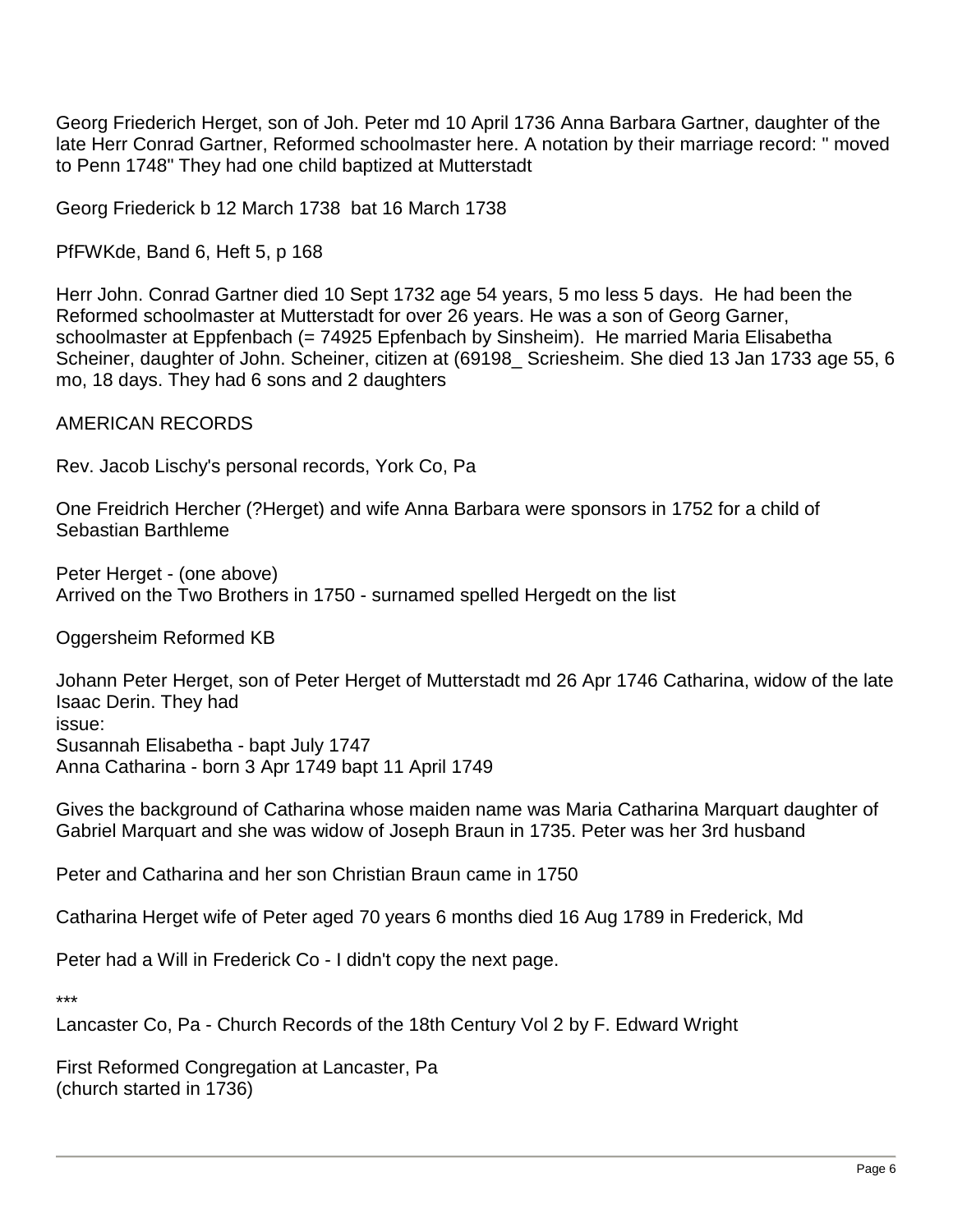Georg Friederich Herget, son of Joh. Peter md 10 April 1736 Anna Barbara Gartner, daughter of the late Herr Conrad Gartner, Reformed schoolmaster here. A notation by their marriage record: " moved to Penn 1748" They had one child baptized at Mutterstadt

Georg Friederick b 12 March 1738 bat 16 March 1738

PfFWKde, Band 6, Heft 5, p 168

Herr John. Conrad Gartner died 10 Sept 1732 age 54 years, 5 mo less 5 days. He had been the Reformed schoolmaster at Mutterstadt for over 26 years. He was a son of Georg Garner, schoolmaster at Eppfenbach (= 74925 Epfenbach by Sinsheim). He married Maria Elisabetha Scheiner, daughter of John. Scheiner, citizen at (69198\_ Scriesheim. She died 13 Jan 1733 age 55, 6 mo, 18 days. They had 6 sons and 2 daughters

AMERICAN RECORDS

Rev. Jacob Lischy's personal records, York Co, Pa

One Freidrich Hercher (?Herget) and wife Anna Barbara were sponsors in 1752 for a child of Sebastian Barthleme

Peter Herget - (one above) Arrived on the Two Brothers in 1750 - surnamed spelled Hergedt on the list

Oggersheim Reformed KB

Johann Peter Herget, son of Peter Herget of Mutterstadt md 26 Apr 1746 Catharina, widow of the late Isaac Derin. They had issue: Susannah Elisabetha - bapt July 1747 Anna Catharina - born 3 Apr 1749 bapt 11 April 1749

Gives the background of Catharina whose maiden name was Maria Catharina Marquart daughter of Gabriel Marquart and she was widow of Joseph Braun in 1735. Peter was her 3rd husband

Peter and Catharina and her son Christian Braun came in 1750

Catharina Herget wife of Peter aged 70 years 6 months died 16 Aug 1789 in Frederick, Md

Peter had a Will in Frederick Co - I didn't copy the next page.

\*\*\*

Lancaster Co, Pa - Church Records of the 18th Century Vol 2 by F. Edward Wright

First Reformed Congregation at Lancaster, Pa (church started in 1736)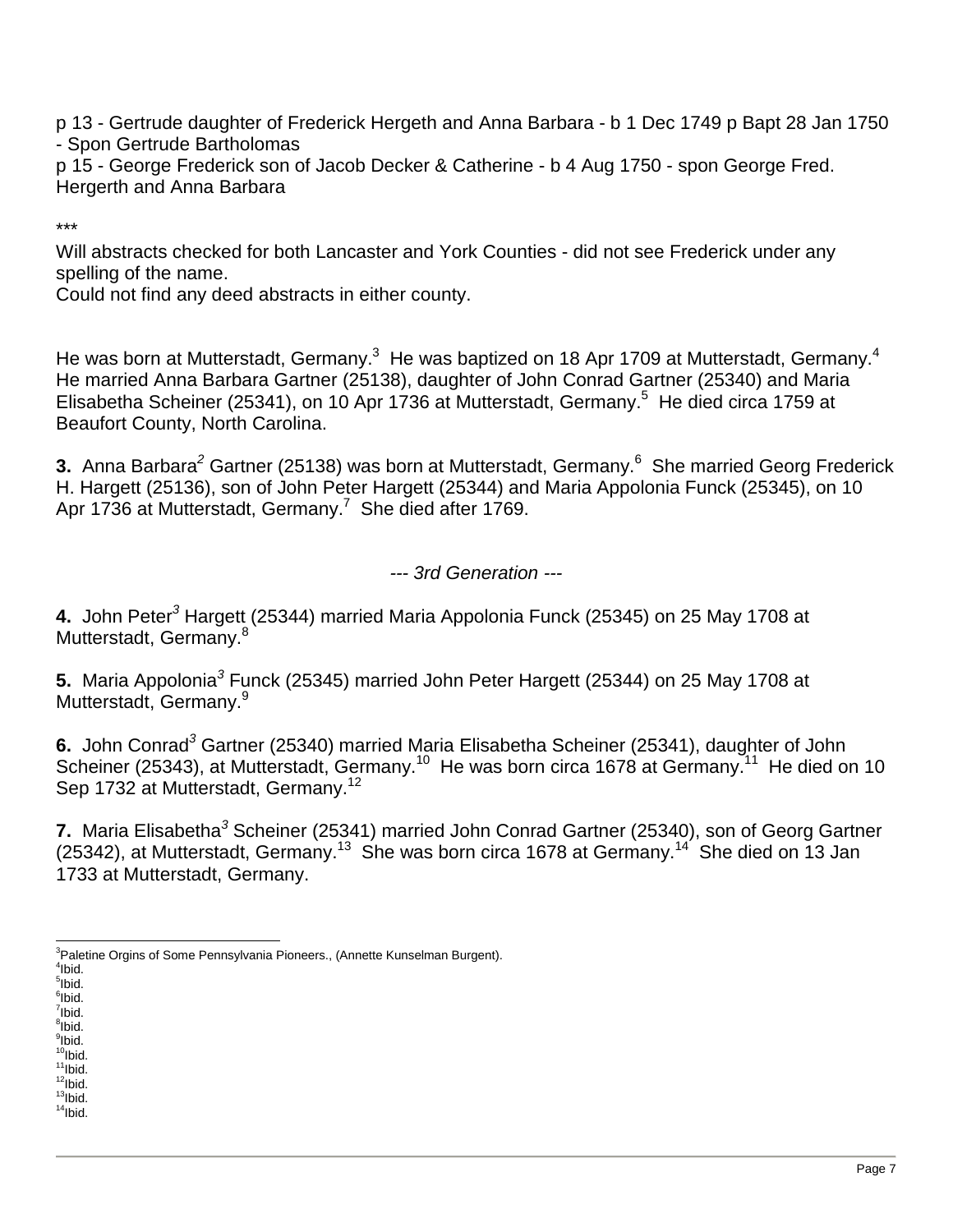p 13 - Gertrude daughter of Frederick Hergeth and Anna Barbara - b 1 Dec 1749 p Bapt 28 Jan 1750 - Spon Gertrude Bartholomas

p 15 - George Frederick son of Jacob Decker & Catherine - b 4 Aug 1750 - spon George Fred. Hergerth and Anna Barbara

\*\*\*

Will abstracts checked for both Lancaster and York Counties - did not see Frederick under any spelling of the name.

Could not find any deed abstracts in either county.

He was born at Mutterstadt, Germany.<sup>[3](#page-6-0)</sup> He was baptized on 18 Apr 1709 at Mutterstadt, Germany.<sup>[4](#page-6-1)</sup> He married Anna Barbara Gartner (25138), daughter of John Conrad Gartner (25340) and Maria Elisabetha Scheiner (2[5](#page-6-2)341), on 10 Apr 1736 at Mutterstadt, Germany.<sup>5</sup> He died circa 1759 at Beaufort County, North Carolina.

**3.** Anna Barbara<sup>2</sup> Gartner (25138) was born at Mutterstadt, Germany.<sup>[6](#page-6-3)</sup> She married Georg Frederick H. Hargett (25136), son of John Peter Hargett (25344) and Maria Appolonia Funck (25345), on 10 Apr 1[7](#page-6-4)36 at Mutterstadt, Germany.<sup>7</sup> She died after 1769.

*--- 3rd Generation ---*

**4.** John Peter*<sup>3</sup>* Hargett (25344) married Maria Appolonia Funck (25345) on 25 May 1708 at Mutterstadt, Germany.<sup>[8](#page-6-5)</sup>

**5.** Maria Appolonia<sup>3</sup> Funck (25345) married John Peter Hargett (25344) on 25 May 1708 at Mutterstadt, Germany.<sup>[9](#page-6-6)</sup>

**6.** John Conrad*<sup>3</sup>* Gartner (25340) married Maria Elisabetha Scheiner (25341), daughter of John Scheiner (25343), at Mutterstadt, Germany.<sup>[10](#page-6-7)</sup> He was born circa 1678 at Germany.<sup>[11](#page-6-8)</sup> He died on 10 Sep 1732 at Mutterstadt, Germany.<sup>[12](#page-6-9)</sup>

**7.** Maria Elisabetha*<sup>3</sup>* Scheiner (25341) married John Conrad Gartner (25340), son of Georg Gartner (25342), at Mutterstadt, Germany.<sup>[13](#page-6-10)</sup> She was born circa 1678 at Germany.<sup>[14](#page-6-11) She died on 13 Jan</sup> 1733 at Mutterstadt, Germany.

<span id="page-6-2"></span><sup>4</sup>lbid. 5 Ibid.

<span id="page-6-4"></span><span id="page-6-3"></span> $^6$ lbid.

<span id="page-6-5"></span><sup>7</sup>lbid.

<span id="page-6-6"></span> $^8$ lbid. <sup>9</sup>lbid.

<span id="page-6-7"></span><sup>10</sup>Ibid.

<span id="page-6-8"></span> $11$ Ibid.

<span id="page-6-10"></span><span id="page-6-9"></span> $12$ Ibid.

<span id="page-6-11"></span> $13$ Ibid.  $14$ Ibid.

<span id="page-6-1"></span><span id="page-6-0"></span><sup>&</sup>lt;sup>3</sup>Paletine Orgins of Some Pennsylvania Pioneers., (Annette Kunselman Burgent).